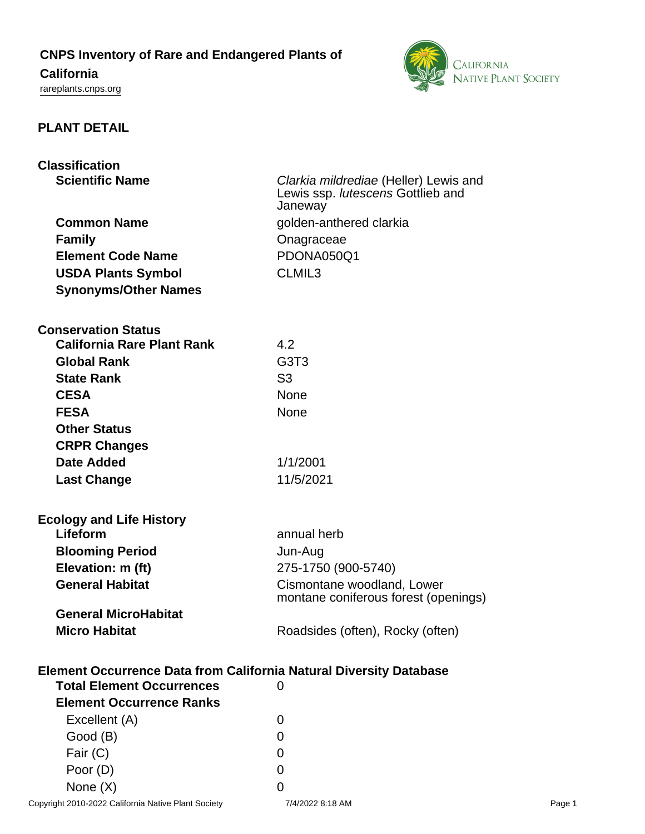**CNPS Inventory of Rare and Endangered Plants of**

# **California**

<rareplants.cnps.org>



# **PLANT DETAIL**

| <b>Classification</b>                                                                                              |                                                                            |  |
|--------------------------------------------------------------------------------------------------------------------|----------------------------------------------------------------------------|--|
| <b>Scientific Name</b>                                                                                             | Clarkia mildrediae (Heller) Lewis and<br>Lewis ssp. lutescens Gottlieb and |  |
|                                                                                                                    | Janeway                                                                    |  |
| <b>Common Name</b>                                                                                                 | golden-anthered clarkia                                                    |  |
| <b>Family</b>                                                                                                      | Onagraceae                                                                 |  |
| <b>Element Code Name</b>                                                                                           | PDONA050Q1                                                                 |  |
| <b>USDA Plants Symbol</b>                                                                                          | CLMIL <sub>3</sub>                                                         |  |
| <b>Synonyms/Other Names</b>                                                                                        |                                                                            |  |
|                                                                                                                    |                                                                            |  |
| <b>Conservation Status</b>                                                                                         |                                                                            |  |
| <b>California Rare Plant Rank</b>                                                                                  | 4.2                                                                        |  |
| <b>Global Rank</b>                                                                                                 | G <sub>3</sub> T <sub>3</sub>                                              |  |
| <b>State Rank</b>                                                                                                  | S <sub>3</sub>                                                             |  |
| <b>CESA</b>                                                                                                        | <b>None</b>                                                                |  |
| <b>FESA</b>                                                                                                        | None                                                                       |  |
| <b>Other Status</b>                                                                                                |                                                                            |  |
| <b>CRPR Changes</b>                                                                                                |                                                                            |  |
| <b>Date Added</b>                                                                                                  | 1/1/2001                                                                   |  |
| <b>Last Change</b>                                                                                                 | 11/5/2021                                                                  |  |
|                                                                                                                    |                                                                            |  |
| <b>Ecology and Life History</b><br>Lifeform                                                                        | annual herb                                                                |  |
|                                                                                                                    |                                                                            |  |
| <b>Blooming Period</b>                                                                                             | Jun-Aug                                                                    |  |
| Elevation: m (ft)<br><b>General Habitat</b>                                                                        | 275-1750 (900-5740)                                                        |  |
|                                                                                                                    | Cismontane woodland, Lower<br>montane coniferous forest (openings)         |  |
| <b>General MicroHabitat</b>                                                                                        |                                                                            |  |
| <b>Micro Habitat</b>                                                                                               | Roadsides (often), Rocky (often)                                           |  |
|                                                                                                                    |                                                                            |  |
| <b>Element Occurrence Data from California Natural Diversity Database</b><br><b>Total Element Occurrences</b><br>0 |                                                                            |  |
| <b>Element Occurrence Ranks</b>                                                                                    |                                                                            |  |
| Excellent (A)                                                                                                      | 0                                                                          |  |
| Good (B)                                                                                                           | 0                                                                          |  |
| Fair (C)                                                                                                           | 0                                                                          |  |

Poor (D) 0 None  $(X)$  0